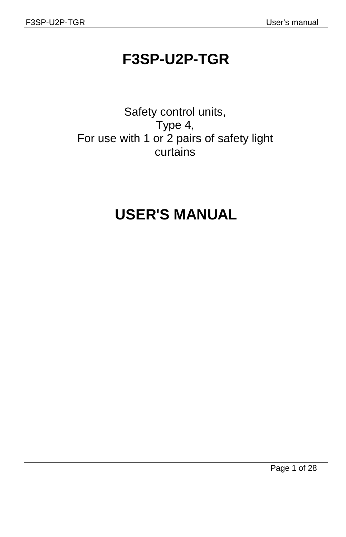## **F3SP-U2P-TGR**

Safety control units, Type 4, For use with 1 or 2 pairs of safety light curtains

# **USER'S MANUAL**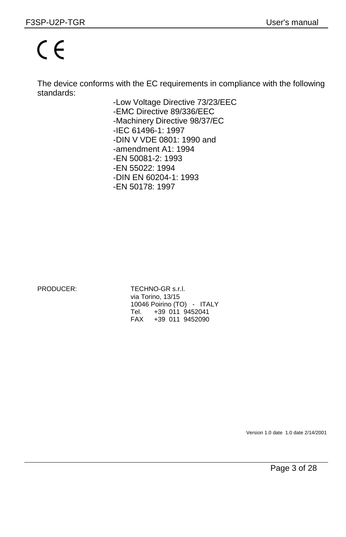# $\epsilon$

The device conforms with the EC requirements in compliance with the following standards:

> -Low Voltage Directive 73/23/EEC -EMC Directive 89/336/EEC -Machinery Directive 98/37/EC -IEC 61496-1: 1997 -DIN V VDE 0801: 1990 and -amendment A1: 1994 -EN 50081-2: 1993 -EN 55022: 1994 -DIN EN 60204-1: 1993 -EN 50178: 1997

PRODUCER: TECHNO-GR s.r.l. via Torino, 13/15 10046 Poirino (TO) - ITALY Tel. +39 011 9452041<br>FAX +39 011 9452090 +39 011 9452090

Version 1.0 date 1.0 date 2/14/2001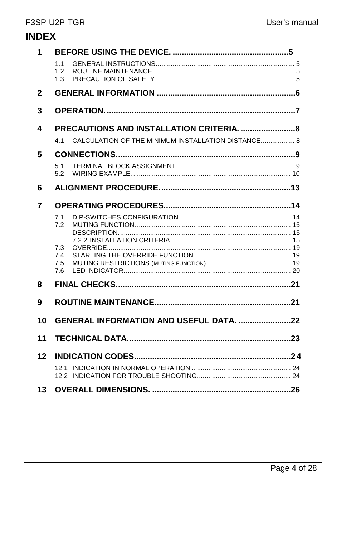| <b>INDEX</b> |                                                           |
|--------------|-----------------------------------------------------------|
| 1            | 1.1<br>1.2<br>1.3                                         |
| $\mathbf{2}$ |                                                           |
| 3            |                                                           |
| 4            |                                                           |
|              | CALCULATION OF THE MINIMUM INSTALLATION DISTANCE 8<br>4.1 |
| 5            |                                                           |
|              | 5.1<br>5.2                                                |
| 6            |                                                           |
| 7            |                                                           |
|              | 7.1<br>7.2                                                |
|              | 7.3<br>7.4<br>7.5<br>7.6                                  |
| 8            |                                                           |
| 9            |                                                           |
| 10           | GENERAL INFORMATION AND USEFUL DATA. 22                   |
| 11           |                                                           |
| 12           |                                                           |
| 13           |                                                           |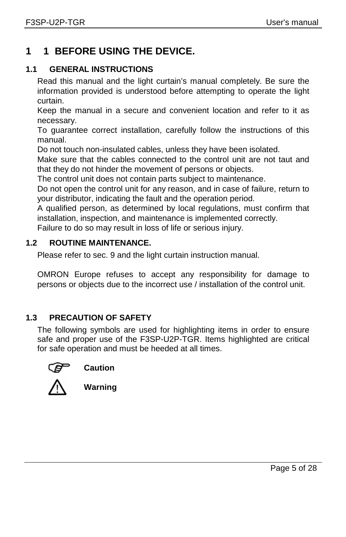## **1 1 BEFORE USING THE DEVICE.**

#### **1.1 GENERAL INSTRUCTIONS**

Read this manual and the light curtain's manual completely. Be sure the information provided is understood before attempting to operate the light curtain.

Keep the manual in a secure and convenient location and refer to it as necessary.

To guarantee correct installation, carefully follow the instructions of this manual.

Do not touch non-insulated cables, unless they have been isolated.

Make sure that the cables connected to the control unit are not taut and that they do not hinder the movement of persons or objects.

The control unit does not contain parts subject to maintenance.

Do not open the control unit for any reason, and in case of failure, return to your distributor, indicating the fault and the operation period.

A qualified person, as determined by local regulations, must confirm that installation, inspection, and maintenance is implemented correctly.

Failure to do so may result in loss of life or serious injury.

#### **1.2 ROUTINE MAINTENANCE.**

Please refer to sec. 9 and the light curtain instruction manual.

OMRON Europe refuses to accept any responsibility for damage to persons or objects due to the incorrect use / installation of the control unit.

#### **1.3 PRECAUTION OF SAFETY**

The following symbols are used for highlighting items in order to ensure safe and proper use of the F3SP-U2P-TGR. Items highlighted are critical for safe operation and must be heeded at all times.







**Warning**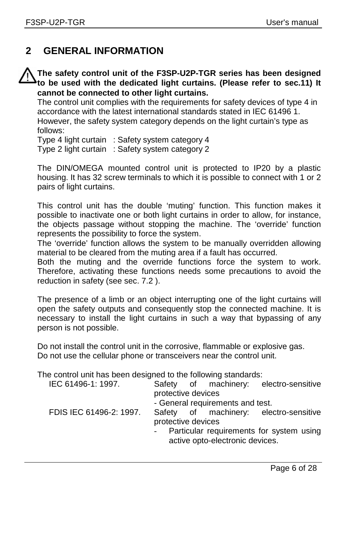## **2 GENERAL INFORMATION**

#### **The safety control unit of the F3SP-U2P-TGR series has been designed to be used with the dedicated light curtains. (Please refer to sec.11) It cannot be connected to other light curtains.**

The control unit complies with the requirements for safety devices of type 4 in accordance with the latest international standards stated in IEC 61496 1. However, the safety system category depends on the light curtain's type as follows:

Type 4 light curtain : Safety system category 4 Type 2 light curtain : Safety system category 2

The DIN/OMEGA mounted control unit is protected to IP20 by a plastic housing. It has 32 screw terminals to which it is possible to connect with 1 or 2 pairs of light curtains.

This control unit has the double 'muting' function. This function makes it possible to inactivate one or both light curtains in order to allow, for instance, the objects passage without stopping the machine. The 'override' function represents the possibility to force the system.

The 'override' function allows the system to be manually overridden allowing material to be cleared from the muting area if a fault has occurred.

Both the muting and the override functions force the system to work. Therefore, activating these functions needs some precautions to avoid the reduction in safety (see sec. 7.2 ).

The presence of a limb or an object interrupting one of the light curtains will open the safety outputs and consequently stop the connected machine. It is necessary to install the light curtains in such a way that bypassing of any person is not possible.

Do not install the control unit in the corrosive, flammable or explosive gas. Do not use the cellular phone or transceivers near the control unit.

The control unit has been designed to the following standards:

| IEC 61496-1: 1997.      |                    | Safety of machinery:             | electro-sensitive                        |
|-------------------------|--------------------|----------------------------------|------------------------------------------|
|                         | protective devices |                                  |                                          |
|                         |                    | - General requirements and test. |                                          |
| FDIS IEC 61496-2: 1997. |                    |                                  | Safety of machinery: electro-sensitive   |
|                         | protective devices |                                  |                                          |
|                         |                    |                                  | Particular requirements for system using |
|                         |                    | active opto-electronic devices.  |                                          |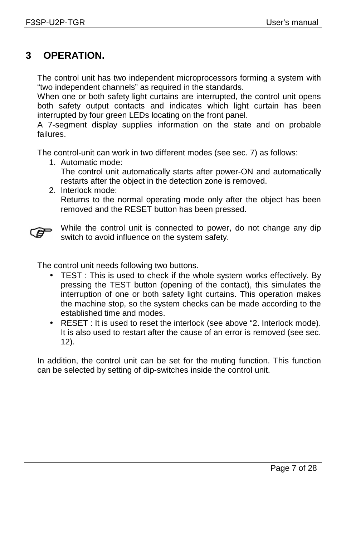### **3 OPERATION.**

The control unit has two independent microprocessors forming a system with "two independent channels" as required in the standards.

When one or both safety light curtains are interrupted, the control unit opens both safety output contacts and indicates which light curtain has been interrupted by four green LEDs locating on the front panel.

A 7-segment display supplies information on the state and on probable failures.

The control-unit can work in two different modes (see sec. 7) as follows:

1. Automatic mode: The control unit automatically starts after power-ON and automatically restarts after the object in the detection zone is removed.

#### 2. Interlock mode: Returns to the normal operating mode only after the object has been removed and the RESET button has been pressed.



While the control unit is connected to power, do not change any dip switch to avoid influence on the system safety.

The control unit needs following two buttons.

- TEST : This is used to check if the whole system works effectively. By pressing the TEST button (opening of the contact), this simulates the interruption of one or both safety light curtains. This operation makes the machine stop, so the system checks can be made according to the established time and modes.
- RESET : It is used to reset the interlock (see above "2. Interlock mode). It is also used to restart after the cause of an error is removed (see sec. 12).

In addition, the control unit can be set for the muting function. This function can be selected by setting of dip-switches inside the control unit.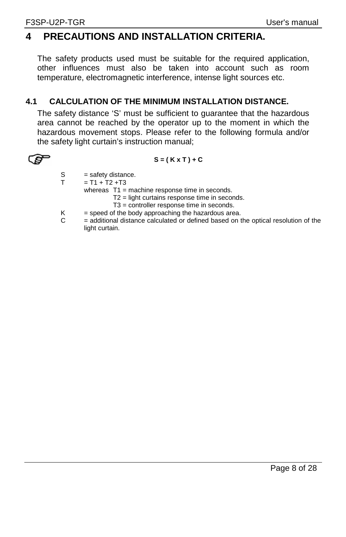## **4 PRECAUTIONS AND INSTALLATION CRITERIA.**

The safety products used must be suitable for the required application, other influences must also be taken into account such as room temperature, electromagnetic interference, intense light sources etc.

#### **4.1 CALCULATION OF THE MINIMUM INSTALLATION DISTANCE.**

The safety distance 'S' must be sufficient to guarantee that the hazardous area cannot be reached by the operator up to the moment in which the hazardous movement stops. Please refer to the following formula and/or the safety light curtain's instruction manual;



**S** = (K x T ) + C

- $S = safety distance.$ <br>  $T = T1 + T2 + T3$
- $= T1 + T2 + T3$

whereas T1 = machine response time in seconds.

- T2 = light curtains response time in seconds.
- T3 = controller response time in seconds.
- $K =$  speed of the body approaching the hazardous area.
- $C =$  additional distance calculated or defined based on the optical resolution of the light curtain.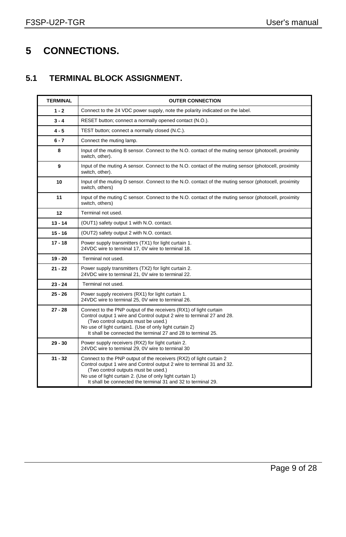## **5 CONNECTIONS.**

#### **5.1 TERMINAL BLOCK ASSIGNMENT.**

| <b>TERMINAL</b> | <b>OUTER CONNECTION</b>                                                                                                                                                                                                                                                                                          |  |  |  |
|-----------------|------------------------------------------------------------------------------------------------------------------------------------------------------------------------------------------------------------------------------------------------------------------------------------------------------------------|--|--|--|
| $1 - 2$         | Connect to the 24 VDC power supply, note the polarity indicated on the label.                                                                                                                                                                                                                                    |  |  |  |
| $3 - 4$         | RESET button; connect a normally opened contact (N.O.).                                                                                                                                                                                                                                                          |  |  |  |
| $4 - 5$         | TEST button; connect a normally closed (N.C.).                                                                                                                                                                                                                                                                   |  |  |  |
| $6 - 7$         | Connect the muting lamp.                                                                                                                                                                                                                                                                                         |  |  |  |
| 8               | Input of the muting B sensor. Connect to the N.O. contact of the muting sensor (photocell, proximity<br>switch, other).                                                                                                                                                                                          |  |  |  |
| 9               | Input of the muting A sensor. Connect to the N.O. contact of the muting sensor (photocell, proximity<br>switch, other).                                                                                                                                                                                          |  |  |  |
| 10              | Input of the muting D sensor. Connect to the N.O. contact of the muting sensor (photocell, proximity<br>switch, others)                                                                                                                                                                                          |  |  |  |
| 11              | Input of the muting C sensor. Connect to the N.O. contact of the muting sensor (photocell, proximity<br>switch, others)                                                                                                                                                                                          |  |  |  |
| 12              | Terminal not used.                                                                                                                                                                                                                                                                                               |  |  |  |
| $13 - 14$       | (OUT1) safety output 1 with N.O. contact.                                                                                                                                                                                                                                                                        |  |  |  |
| $15 - 16$       | (OUT2) safety output 2 with N.O. contact.                                                                                                                                                                                                                                                                        |  |  |  |
| $17 - 18$       | Power supply transmitters (TX1) for light curtain 1.<br>24VDC wire to terminal 17, 0V wire to terminal 18.                                                                                                                                                                                                       |  |  |  |
| $19 - 20$       | Terminal not used.                                                                                                                                                                                                                                                                                               |  |  |  |
| $21 - 22$       | Power supply transmitters (TX2) for light curtain 2.<br>24VDC wire to terminal 21, 0V wire to terminal 22.                                                                                                                                                                                                       |  |  |  |
| $23 - 24$       | Terminal not used.                                                                                                                                                                                                                                                                                               |  |  |  |
| $25 - 26$       | Power supply receivers (RX1) for light curtain 1.<br>24VDC wire to terminal 25, 0V wire to terminal 26.                                                                                                                                                                                                          |  |  |  |
| $27 - 28$       | Connect to the PNP output of the receivers (RX1) of light curtain<br>Control output 1 wire and Control output 2 wire to terminal 27 and 28.<br>(Two control outputs must be used.)<br>No use of light curtain1. (Use of only light curtain 2)<br>It shall be connected the terminal 27 and 28 to terminal 25.    |  |  |  |
| 29 - 30         | Power supply receivers (RX2) for light curtain 2.<br>24VDC wire to terminal 29, 0V wire to terminal 30                                                                                                                                                                                                           |  |  |  |
| $31 - 32$       | Connect to the PNP output of the receivers (RX2) of light curtain 2<br>Control output 1 wire and Control output 2 wire to terminal 31 and 32.<br>(Two control outputs must be used.)<br>No use of light curtain 2. (Use of only light curtain 1)<br>It shall be connected the terminal 31 and 32 to terminal 29. |  |  |  |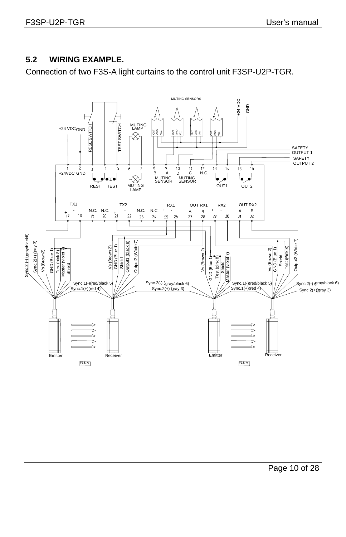#### **5.2 WIRING EXAMPLE.**

Connection of two F3S-A light curtains to the control unit F3SP-U2P-TGR.

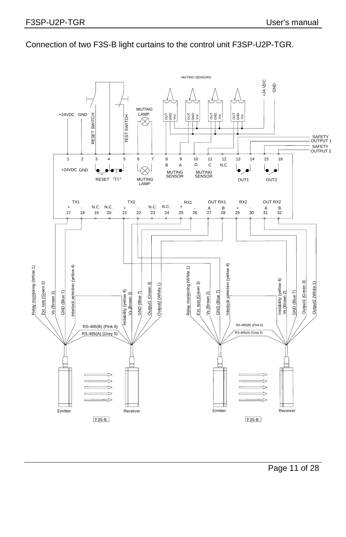

Connection of two F3S-B light curtains to the control unit F3SP-U2P-TGR.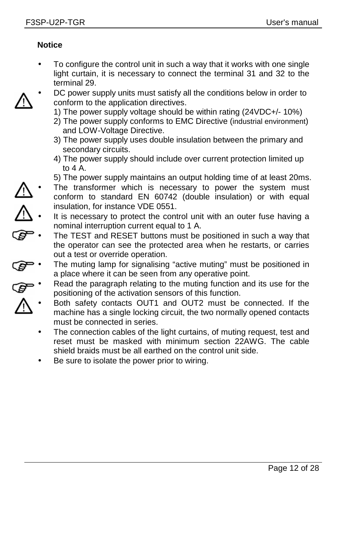#### **Notice**

- To configure the control unit in such a way that it works with one single light curtain, it is necessary to connect the terminal 31 and 32 to the terminal 29.
- DC power supply units must satisfy all the conditions below in order to conform to the application directives.
	- 1) The power supply voltage should be within rating (24VDC+/- 10%)
	- 2) The power supply conforms to EMC Directive (industrial environment) and LOW-Voltage Directive.
	- 3) The power supply uses double insulation between the primary and secondary circuits.
	- 4) The power supply should include over current protection limited up to  $4A$
	- 5) The power supply maintains an output holding time of at least 20ms.
- The transformer which is necessary to power the system must conform to standard EN 60742 (double insulation) or with equal insulation, for instance VDE 0551.
- It is necessary to protect the control unit with an outer fuse having a nominal interruption current equal to 1 A.
- The TEST and RESET buttons must be positioned in such a way that the operator can see the protected area when he restarts, or carries out a test or override operation.
- The muting lamp for signalising "active muting" must be positioned in a place where it can be seen from any operative point.
- Read the paragraph relating to the muting function and its use for the positioning of the activation sensors of this function.
	- Both safety contacts OUT1 and OUT2 must be connected. If the machine has a single locking circuit, the two normally opened contacts must be connected in series.
		- The connection cables of the light curtains, of muting request, test and reset must be masked with minimum section 22AWG. The cable shield braids must be all earthed on the control unit side.
		- Be sure to isolate the power prior to wiring.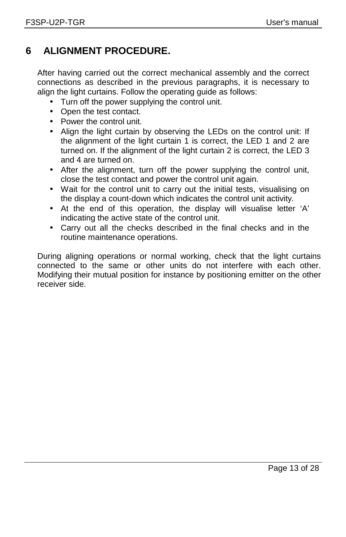## **6 ALIGNMENT PROCEDURE.**

After having carried out the correct mechanical assembly and the correct connections as described in the previous paragraphs, it is necessary to align the light curtains. Follow the operating quide as follows:

- Turn off the power supplying the control unit.
- Open the test contact.
- Power the control unit.
- Align the light curtain by observing the LEDs on the control unit: If the alignment of the light curtain 1 is correct, the LED 1 and 2 are turned on. If the alignment of the light curtain 2 is correct, the LED 3 and 4 are turned on.
- After the alignment, turn off the power supplying the control unit, close the test contact and power the control unit again.
- Wait for the control unit to carry out the initial tests, visualising on the display a count-down which indicates the control unit activity.
- At the end of this operation, the display will visualise letter 'A' indicating the active state of the control unit.
- Carry out all the checks described in the final checks and in the routine maintenance operations.

During aligning operations or normal working, check that the light curtains connected to the same or other units do not interfere with each other. Modifying their mutual position for instance by positioning emitter on the other receiver side.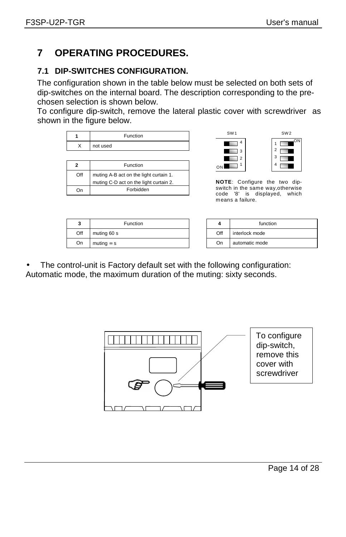## **7 OPERATING PROCEDURES.**

#### **7.1 DIP-SWITCHES CONFIGURATION.**

The configuration shown in the table below must be selected on both sets of dip-switches on the internal board. The description corresponding to the prechosen selection is shown below.

To configure dip-switch, remove the lateral plastic cover with screwdriver as shown in the figure below.

|                                               | Function                               |
|-----------------------------------------------|----------------------------------------|
| x                                             | not used                               |
|                                               |                                        |
|                                               | Function                               |
| Off<br>muting A-B act on the light curtain 1. |                                        |
|                                               | muting C-D act on the light curtain 2. |
|                                               | Forbidden                              |





**NOTE**: Configure the two dipswitch in the same way,otherwise code '8' is displayed, which means a failure.

| 2<br>v | Function          |     | function       |
|--------|-------------------|-----|----------------|
| Off    | muting 60 s       | Off | interlock mode |
| On     | muting $\infty$ s | On  | automatic mode |

|     | function       |
|-----|----------------|
| Off | interlock mode |
| On  | automatic mode |

The control-unit is Factory default set with the following configuration: Automatic mode, the maximum duration of the muting: sixty seconds.

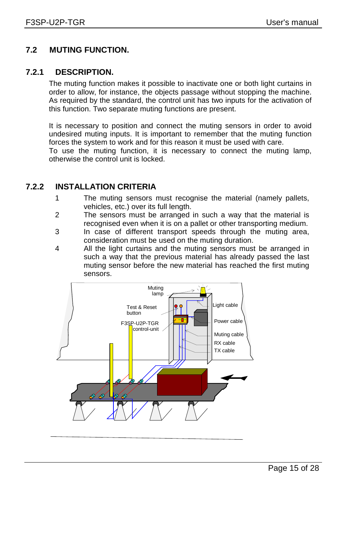#### **7.2 MUTING FUNCTION.**

#### **7.2.1 DESCRIPTION.**

The muting function makes it possible to inactivate one or both light curtains in order to allow, for instance, the objects passage without stopping the machine. As required by the standard, the control unit has two inputs for the activation of this function. Two separate muting functions are present.

It is necessary to position and connect the muting sensors in order to avoid undesired muting inputs. It is important to remember that the muting function forces the system to work and for this reason it must be used with care.

To use the muting function, it is necessary to connect the muting lamp, otherwise the control unit is locked.

#### **7.2.2 INSTALLATION CRITERIA**

- 1 The muting sensors must recognise the material (namely pallets, vehicles, etc.) over its full length.
- 2 The sensors must be arranged in such a way that the material is recognised even when it is on a pallet or other transporting medium.
- 3 In case of different transport speeds through the muting area, consideration must be used on the muting duration.
- 4 All the light curtains and the muting sensors must be arranged in such a way that the previous material has already passed the last muting sensor before the new material has reached the first muting sensors.

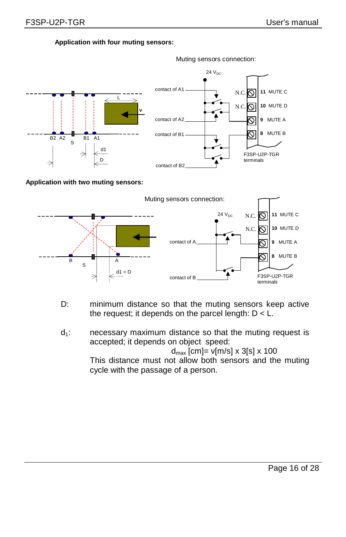**Application with four muting sensors:**



**Application with two muting sensors:** 



- D: minimum distance so that the muting sensors keep active the request; it depends on the parcel length:  $D < L$ .
- $d_1$ : necessary maximum distance so that the muting request is accepted; it depends on object speed:

 $d_{\text{max}}$  [cm]= v[m/s] x 3[s] x 100

 This distance must not allow both sensors and the muting cycle with the passage of a person.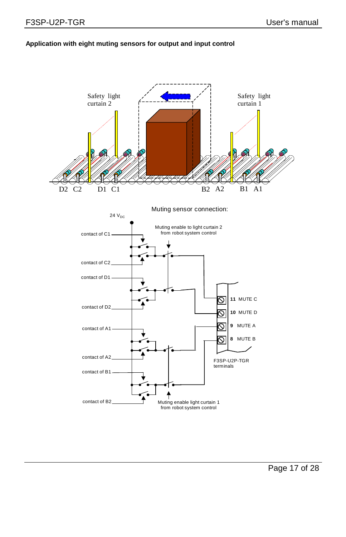#### **Application with eight muting sensors for output and input control**

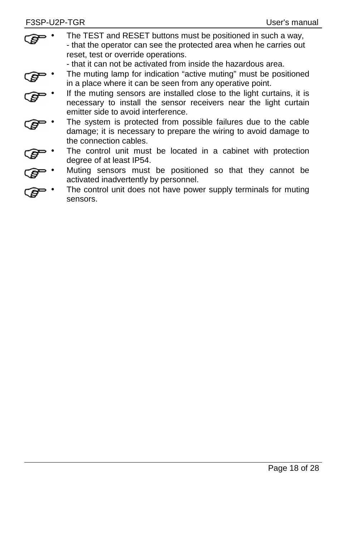The TEST and RESET buttons must be positioned in such a way. - that the operator can see the protected area when he carries out reset, test or override operations.

- that it can not be activated from inside the hazardous area.

- The muting lamp for indication "active muting" must be positioned in a place where it can be seen from any operative point.
- If the muting sensors are installed close to the light curtains, it is necessary to install the sensor receivers near the light curtain emitter side to avoid interference.
- The system is protected from possible failures due to the cable damage; it is necessary to prepare the wiring to avoid damage to the connection cables.
- The control unit must be located in a cabinet with protection degree of at least IP54.
- Muting sensors must be positioned so that they cannot be activated inadvertently by personnel.
- The control unit does not have power supply terminals for muting sensors.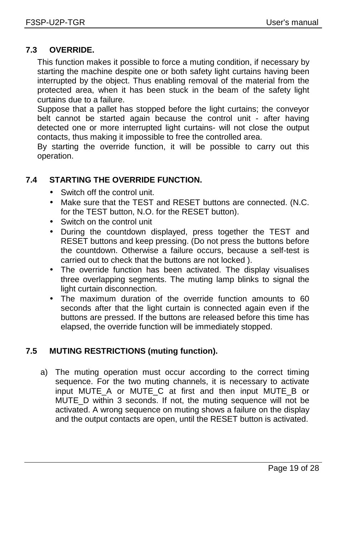#### **7.3 OVERRIDE.**

This function makes it possible to force a muting condition, if necessary by starting the machine despite one or both safety light curtains having been interrupted by the object. Thus enabling removal of the material from the protected area, when it has been stuck in the beam of the safety light curtains due to a failure.

Suppose that a pallet has stopped before the light curtains; the conveyor belt cannot be started again because the control unit - after having detected one or more interrupted light curtains- will not close the output contacts, thus making it impossible to free the controlled area.

By starting the override function, it will be possible to carry out this operation.

#### **7.4 STARTING THE OVERRIDE FUNCTION.**

- Switch off the control unit.
- Make sure that the TEST and RESET buttons are connected. (N.C. for the TEST button, N.O. for the RESET button).
- Switch on the control unit
- During the countdown displayed, press together the TEST and RESET buttons and keep pressing. (Do not press the buttons before the countdown. Otherwise a failure occurs, because a self-test is carried out to check that the buttons are not locked ).
- The override function has been activated. The display visualises three overlapping segments. The muting lamp blinks to signal the light curtain disconnection.
- The maximum duration of the override function amounts to 60 seconds after that the light curtain is connected again even if the buttons are pressed. If the buttons are released before this time has elapsed, the override function will be immediately stopped.

#### **7.5 MUTING RESTRICTIONS (muting function).**

a) The muting operation must occur according to the correct timing sequence. For the two muting channels, it is necessary to activate input MUTE\_A or MUTE\_C at first and then input MUTE\_B or MUTE\_D within 3 seconds. If not, the muting sequence will not be activated. A wrong sequence on muting shows a failure on the display and the output contacts are open, until the RESET button is activated.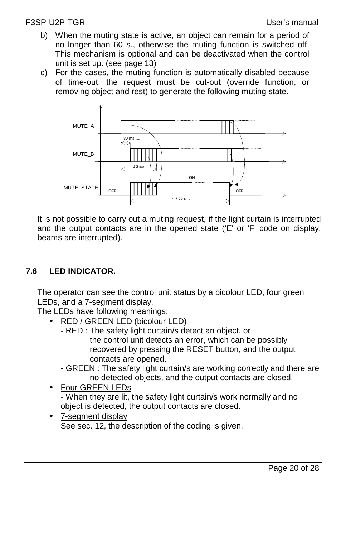- b) When the muting state is active, an object can remain for a period of no longer than 60 s., otherwise the muting function is switched off. This mechanism is optional and can be deactivated when the control unit is set up. (see page 13)
- c) For the cases, the muting function is automatically disabled because of time-out, the request must be cut-out (override function, or removing object and rest) to generate the following muting state.



It is not possible to carry out a muting request, if the light curtain is interrupted and the output contacts are in the opened state ('E' or 'F' code on display, beams are interrupted).

#### **7.6 LED INDICATOR.**

The operator can see the control unit status by a bicolour LED, four green LEDs, and a 7-segment display.

The LEDs have following meanings:

- RED / GREEN LED (bicolour LED)
	- RED : The safety light curtain/s detect an object, or the control unit detects an error, which can be possibly recovered by pressing the RESET button, and the output contacts are opened.
	- GREEN : The safety light curtain/s are working correctly and there are no detected objects, and the output contacts are closed.
- Four GREEN LEDs - When they are lit, the safety light curtain/s work normally and no object is detected, the output contacts are closed.
- 7-segment display See sec. 12, the description of the coding is given.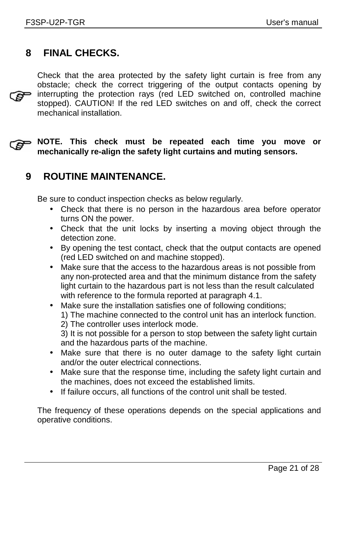## **8 FINAL CHECKS.**

Check that the area protected by the safety light curtain is free from any obstacle; check the correct triggering of the output contacts opening by  $\mathbf{e}$ interrupting the protection rays (red LED switched on, controlled machine stopped). CAUTION! If the red LED switches on and off, check the correct mechanical installation.

**NOTE. This check must be repeated each time you move or mechanically re-align the safety light curtains and muting sensors.** 

## **9 ROUTINE MAINTENANCE.**

Be sure to conduct inspection checks as below regularly.

- Check that there is no person in the hazardous area before operator turns ON the power.
- Check that the unit locks by inserting a moving object through the detection zone.
- By opening the test contact, check that the output contacts are opened (red LED switched on and machine stopped).
- Make sure that the access to the hazardous areas is not possible from any non-protected area and that the minimum distance from the safety light curtain to the hazardous part is not less than the result calculated with reference to the formula reported at paragraph 4.1.
- Make sure the installation satisfies one of following conditions; 1) The machine connected to the control unit has an interlock function. 2) The controller uses interlock mode. 3) It is not possible for a person to stop between the safety light curtain and the hazardous parts of the machine.
- Make sure that there is no outer damage to the safety light curtain and/or the outer electrical connections.
- Make sure that the response time, including the safety light curtain and the machines, does not exceed the established limits.
- If failure occurs, all functions of the control unit shall be tested.

The frequency of these operations depends on the special applications and operative conditions.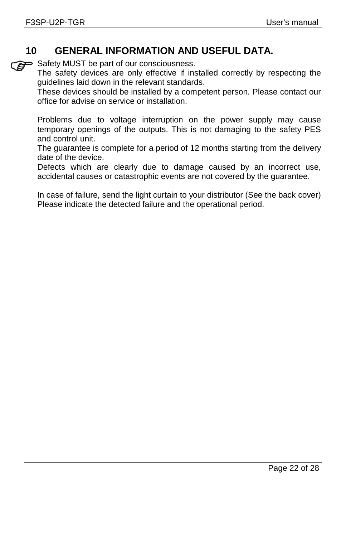## **10 GENERAL INFORMATION AND USEFUL DATA.**

Safety MUST be part of our consciousness.

The safety devices are only effective if installed correctly by respecting the guidelines laid down in the relevant standards.

These devices should be installed by a competent person. Please contact our office for advise on service or installation.

Problems due to voltage interruption on the power supply may cause temporary openings of the outputs. This is not damaging to the safety PES and control unit.

The guarantee is complete for a period of 12 months starting from the delivery date of the device.

Defects which are clearly due to damage caused by an incorrect use, accidental causes or catastrophic events are not covered by the guarantee.

In case of failure, send the light curtain to your distributor (See the back cover) Please indicate the detected failure and the operational period.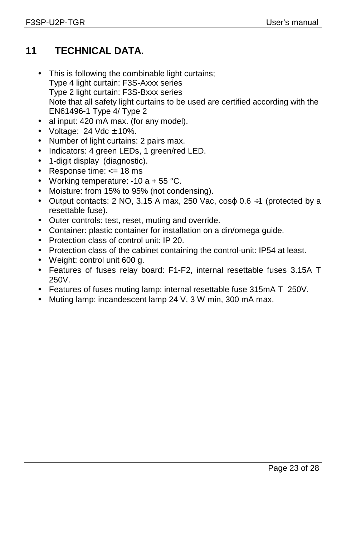## **11 TECHNICAL DATA.**

- This is following the combinable light curtains; Type 4 light curtain: F3S-Axxx series Type 2 light curtain: F3S-Bxxx series Note that all safety light curtains to be used are certified according with the EN61496-1 Type 4/ Type 2
- al input: 420 mA max. (for any model).
- Voltage:  $24$  Vdc  $\pm$  10%.
- Number of light curtains: 2 pairs max.
- Indicators: 4 green LEDs, 1 green/red LED.
- 1-digit display (diagnostic).
- Response time: <= 18 ms
- Working temperature:  $-10a + 55^{\circ}C$ .
- Moisture: from 15% to 95% (not condensing).
- Output contacts: 2 NO, 3.15 A max, 250 Vac,  $cos\varphi$  0.6  $\div$ 1 (protected by a resettable fuse).
- Outer controls: test, reset, muting and override.
- Container: plastic container for installation on a din/omega guide.
- Protection class of control unit: IP 20.
- Protection class of the cabinet containing the control-unit: IP54 at least.
- Weight: control unit 600 g.
- Features of fuses relay board: F1-F2, internal resettable fuses 3.15A T 250V.
- Features of fuses muting lamp: internal resettable fuse 315mA T 250V.
- Muting lamp: incandescent lamp 24 V, 3 W min, 300 mA max.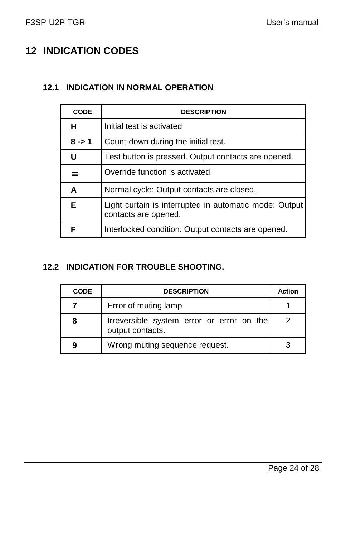## **12 INDICATION CODES**

#### **12.1 INDICATION IN NORMAL OPERATION**

| <b>CODE</b> | <b>DESCRIPTION</b>                                                             |
|-------------|--------------------------------------------------------------------------------|
| н           | Initial test is activated                                                      |
| $8 - 1$     | Count-down during the initial test.                                            |
| U           | Test button is pressed. Output contacts are opened.                            |
| ≡           | Override function is activated.                                                |
| A           | Normal cycle: Output contacts are closed.                                      |
| E           | Light curtain is interrupted in automatic mode: Output<br>contacts are opened. |
| F           | Interlocked condition: Output contacts are opened.                             |

#### **12.2 INDICATION FOR TROUBLE SHOOTING.**

| <b>CODE</b> | <b>DESCRIPTION</b>                                            | Action |
|-------------|---------------------------------------------------------------|--------|
|             | Error of muting lamp                                          |        |
| 8           | Irreversible system error or error on the<br>output contacts. | 2      |
| 9           | Wrong muting sequence request.                                |        |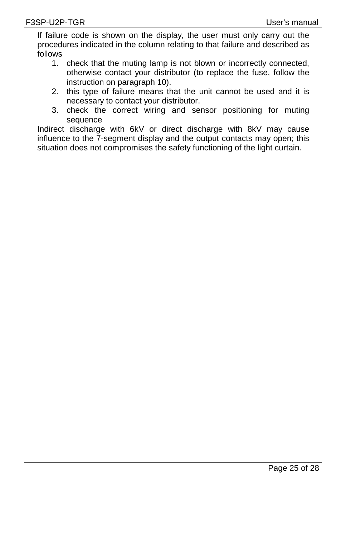If failure code is shown on the display, the user must only carry out the procedures indicated in the column relating to that failure and described as follows

- 1. check that the muting lamp is not blown or incorrectly connected, otherwise contact your distributor (to replace the fuse, follow the instruction on paragraph 10).
- 2. this type of failure means that the unit cannot be used and it is necessary to contact your distributor.
- 3. check the correct wiring and sensor positioning for muting sequence

Indirect discharge with 6kV or direct discharge with 8kV may cause influence to the 7-segment display and the output contacts may open; this situation does not compromises the safety functioning of the light curtain.